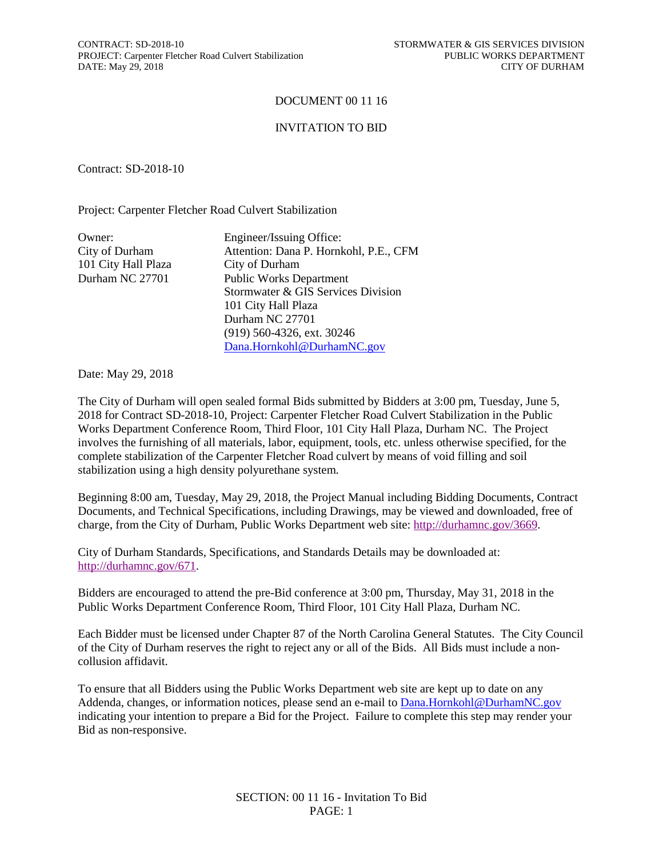CONTRACT: SD-2018-10 STORMWATER & GIS SERVICES DIVISION PROJECT: Carpenter Fletcher Road Culvert Stabilization PUBLIC WORKS DEPARTMENT<br>DATE: May 29, 2018 CITY OF DURHAM DATE: May 29, 2018

## DOCUMENT 00 11 16

## INVITATION TO BID

Contract: SD-2018-10

Project: Carpenter Fletcher Road Culvert Stabilization

| Owner:              | Engineer/Issuing Office:               |
|---------------------|----------------------------------------|
| City of Durham      | Attention: Dana P. Hornkohl, P.E., CFM |
| 101 City Hall Plaza | City of Durham                         |
| Durham NC 27701     | <b>Public Works Department</b>         |
|                     | Stormwater & GIS Services Division     |
|                     | 101 City Hall Plaza                    |
|                     | Durham NC 27701                        |
|                     | $(919)$ 560-4326, ext. 30246           |
|                     | Dana.Hornkohl@DurhamNC.gov             |

Date: May 29, 2018

The City of Durham will open sealed formal Bids submitted by Bidders at 3:00 pm, Tuesday, June 5, 2018 for Contract SD-2018-10, Project: Carpenter Fletcher Road Culvert Stabilization in the Public Works Department Conference Room, Third Floor, 101 City Hall Plaza, Durham NC. The Project involves the furnishing of all materials, labor, equipment, tools, etc. unless otherwise specified, for the complete stabilization of the Carpenter Fletcher Road culvert by means of void filling and soil stabilization using a high density polyurethane system.

Beginning 8:00 am, Tuesday, May 29, 2018, the Project Manual including Bidding Documents, Contract Documents, and Technical Specifications, including Drawings, may be viewed and downloaded, free of charge, from the City of Durham, Public Works Department web site: [http://durhamnc.gov/3669.](http://durhamnc.gov/3669)

City of Durham Standards, Specifications, and Standards Details may be downloaded at: [http://durhamnc.gov/671.](http://durhamnc.gov/671)

Bidders are encouraged to attend the pre-Bid conference at 3:00 pm, Thursday, May 31, 2018 in the Public Works Department Conference Room, Third Floor, 101 City Hall Plaza, Durham NC.

Each Bidder must be licensed under Chapter 87 of the North Carolina General Statutes. The City Council of the City of Durham reserves the right to reject any or all of the Bids. All Bids must include a noncollusion affidavit.

To ensure that all Bidders using the Public Works Department web site are kept up to date on any Addenda, changes, or information notices, please send an e-mail to [Dana.Hornkohl@DurhamNC.gov](mailto:Dana.Hornkohl@DurhamNC.gov) indicating your intention to prepare a Bid for the Project. Failure to complete this step may render your Bid as non-responsive.

> SECTION: 00 11 16 - Invitation To Bid PAGE: 1